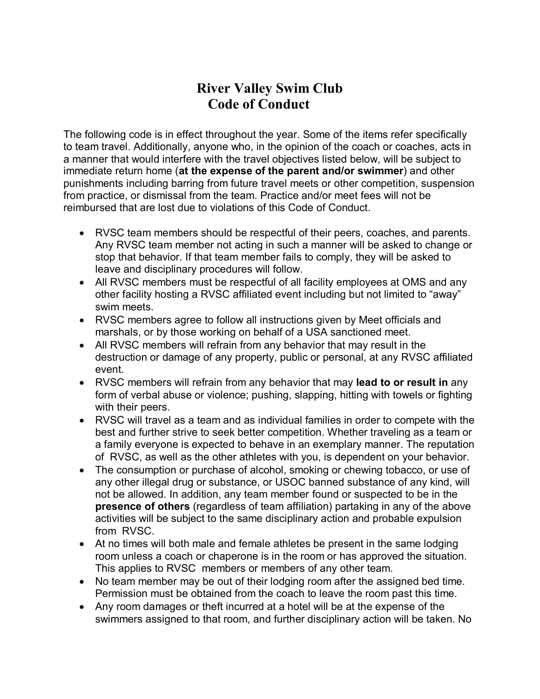## River Valley Swim Club Code of Conduct

The following code is in effect throughout the year. Some of the items refer specifically to team travel. Additionally, anyone who, in the opinion of the coach or coaches, acts in a manner that would interfere with the travel objectives listed below, will be subject to immediate return home (at the expense of the parent and/or swimmer) and other punishments including barring from future travel meets or other competition, suspension from practice, or dismissal from the team. Practice and/or meet fees will not be reimbursed that are lost due to violations of this Code of Conduct.

- RVSC team members should be respectful of their peers, coaches, and parents. Any RVSC team member not acting in such a manner will be asked to change or stop that behavior. If that team member fails to comply, they will be asked to leave and disciplinary procedures will follow.
- All RVSC members must be respectful of all facility employees at OMS and any other facility hosting a RVSC affiliated event including but not limited to "away" swim meets.
- RVSC members agree to follow all instructions given by Meet officials and marshals, or by those working on behalf of a USA sanctioned meet.
- All RVSC members will refrain from any behavior that may result in the destruction or damage of any property, public or personal, at any RVSC affiliated event.
- RVSC members will refrain from any behavior that may lead to or result in any form of verbal abuse or violence; pushing, slapping, hitting with towels or fighting with their peers.
- RVSC will travel as a team and as individual families in order to compete with the best and further strive to seek better competition. Whether traveling as a team or a family everyone is expected to behave in an exemplary manner. The reputation of RVSC, as well as the other athletes with you, is dependent on your behavior.
- The consumption or purchase of alcohol, smoking or chewing tobacco, or use of any other illegal drug or substance, or USOC banned substance of any kind, will not be allowed. In addition, any team member found or suspected to be in the presence of others (regardless of team affiliation) partaking in any of the above activities will be subject to the same disciplinary action and probable expulsion from RVSC.
- At no times will both male and female athletes be present in the same lodging room unless a coach or chaperone is in the room or has approved the situation. This applies to RVSC members or members of any other team.
- No team member may be out of their lodging room after the assigned bed time. Permission must be obtained from the coach to leave the room past this time.
- Any room damages or theft incurred at a hotel will be at the expense of the swimmers assigned to that room, and further disciplinary action will be taken. No